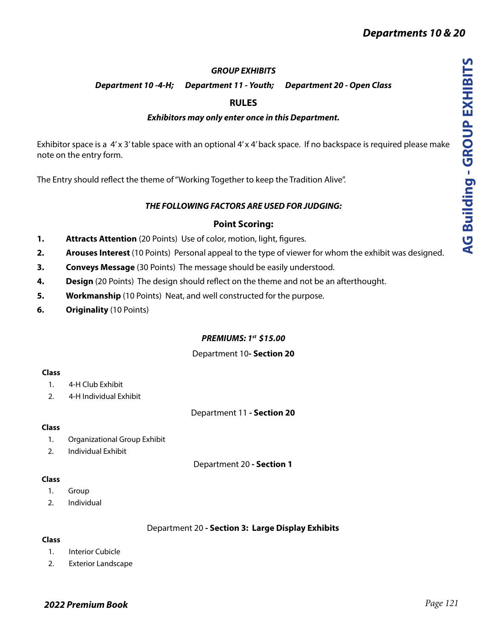# *GROUP EXHIBITS*

*Department 10 -4-H; Department 11 - Youth; Department 20 - Open Class*

# **RULES**

# *Exhibitors may only enter once in this Department.*

Exhibitor space is a 4'x 3' table space with an optional 4'x 4' back space. If no backspace is required please make note on the entry form.

The Entry should reflect the theme of "Working Together to keep the Tradition Alive".

# *THE FOLLOWING FACTORS ARE USED FOR JUDGING:*

# **Point Scoring:**

- **1. Attracts Attention** (20 Points) Use of color, motion, light, figures.
- **2. Arouses Interest** (10 Points) Personal appeal to the type of viewer for whom the exhibit was designed.
- **3. Conveys Message** (30 Points) The message should be easily understood.
- **4. Design** (20 Points) The design should reflect on the theme and not be an afterthought.
- **5. Workmanship** (10 Points) Neat, and well constructed for the purpose.
- **6. Originality** (10 Points)

# *PREMIUMS: 1st \$15.00*

## Department 10**- Section 20**

#### **Class**

- 1. 4-H Club Exhibit
- 2. 4-H Individual Exhibit

# Department 11 **- Section 20**

## **Class**

- 1. Organizational Group Exhibit
- 2. Individual Exhibit

Department 20 **- Section 1** 

#### **Class**

- 1. Group
- 2. Individual

## Department 20 **- Section 3: Large Display Exhibits**

## **Class**

- 1. Interior Cubicle
- 2. Exterior Landscape